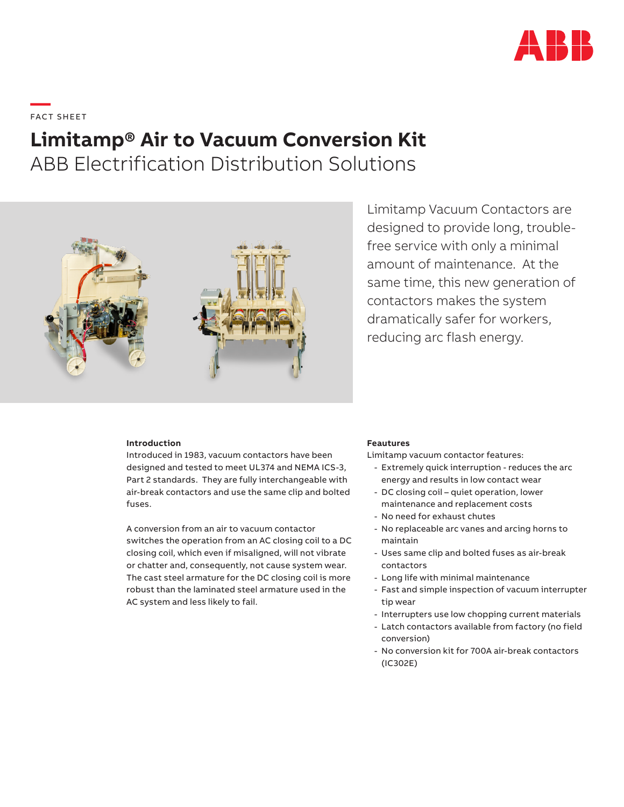

**—**  FAC T S H EE T

## **Limitamp® Air to Vacuum Conversion Kit**

ABB Electrification Distribution Solutions



Limitamp Vacuum Contactors are designed to provide long, troublefree service with only a minimal amount of maintenance. At the same time, this new generation of contactors makes the system dramatically safer for workers, reducing arc flash energy.

## **Introduction**

Introduced in 1983, vacuum contactors have been designed and tested to meet UL374 and NEMA ICS-3, Part 2 standards. They are fully interchangeable with air-break contactors and use the same clip and bolted fuses.

A conversion from an air to vacuum contactor switches the operation from an AC closing coil to a DC closing coil, which even if misaligned, will not vibrate or chatter and, consequently, not cause system wear. The cast steel armature for the DC closing coil is more robust than the laminated steel armature used in the AC system and less likely to fail.

## **Feautures**

Limitamp vacuum contactor features:

- Extremely quick interruption reduces the arc energy and results in low contact wear
- DC closing coil quiet operation, lower maintenance and replacement costs
- No need for exhaust chutes
- No replaceable arc vanes and arcing horns to maintain
- Uses same clip and bolted fuses as air-break contactors
- Long life with minimal maintenance
- Fast and simple inspection of vacuum interrupter tip wear
- Interrupters use low chopping current materials
- Latch contactors available from factory (no field conversion)
- No conversion kit for 700A air-break contactors (IC302E)